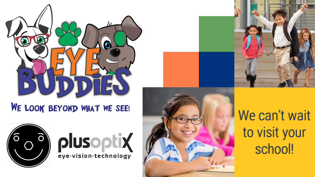

#### WE LOOK BEYOND WHAT WE SEE!









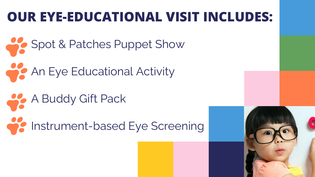## **OUR EYE-EDUCATIONAL VISIT INCLUDES:**

- Spot & Patches Puppet Show An Eye Educational Activity
- A Buddy Gift Pack **Instrument-based Eye Screening**

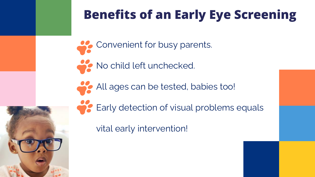## **Benefits of an Early Eye Screening**

- Convenient for busy parents.
- No child left unchecked.
	- All ages can be tested, babies too!
		- Early detection of visual problems equals

vital early intervention!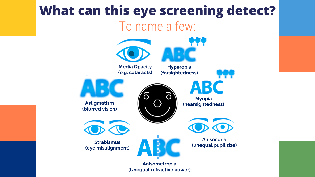## **What can this eye screening detect?** To name a few:



**(Unequal refractive power)**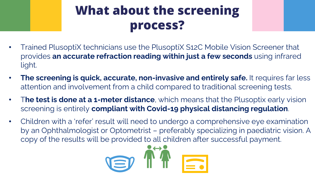## **What about the screening process?**

- Trained PlusoptiX technicians use the PlusoptiX S12C Mobile Vision Screener that provides **an accurate refraction reading within just a few seconds** using infrared light.
- **The screening is quick, accurate, non-invasive and entirely safe.** It requires far less attention and involvement from a child compared to traditional screening tests.
- T**he test is done at a 1-meter distance**, which means that the Plusoptix early vision screening is entirely **compliant with Covid-19 physical distancing regulation**.
- Children with a 'refer' result will need to undergo a comprehensive eye examination by an Ophthalmologist or Optometrist – preferably specializing in paediatric vision. A copy of the results will be provided to all children after successful payment.

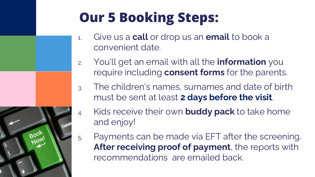# **Our 5 Booking Steps:**

- 1. Give us a **call** or drop us an **email** to book a convenient date.
- 2. You'll get an email with all the **information** you require including **consent forms** for the parents.
- 3. The children's names, surnames and date of birth must be sent at least **2 days before the visit**.
- 4. Kids receive their own **buddy pack** to take home and enjoy!
- images by **[Freepik](https://www.freepik.com/)** 5. Payments can be made via EFT after the screening. **After receiving proof of payment**, the reports with recommendations are emailed back.